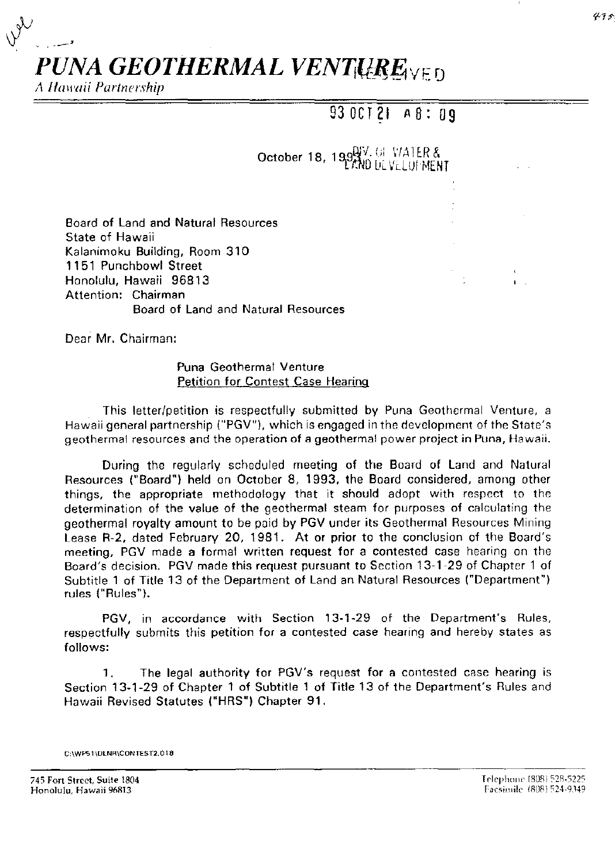

;\ *Hawaii Partnership* 

## 93 OCT **21** A 8: **09**

October 18, 199 V. G. VATER &

Board of Land and Natural Resources State of Hawaii Kalanimoku Building, Room 310 1151 Punchbowl Street Honolulu, Hawaii 96813 Attention: Chairman Board of Land and Natural Resources

Dear Mr. Chairman:

Puna Geothermal Venture Petition for Contest Case Hearing

This letter/petition is respectfully submitted by Puna Geothermal Venture, a Hawaii general partnership ("PGV"), which is engaged in the development of the State's geothermal resources and the operation of a geothermal power project in Puna, Hawaii.

During the regularly scheduled meeting of the Board of Land and Natural Resources ("Board") held on October 8, 1993, the Board considered, among other things, the appropriate methodology that it should adopt with respect to the determination of the value of the geothermal steam for purposes of calculating the geothermal royalty amount to be paid by PGV under its Geothermal Resources Mining Lease R-2, dated February 20, 1981. At or prior to the conclusion of the Board's meeting, PGV made a formal written request for a contested case hearing on the Board's decision. PGV made this request pursuant to Section 13-1-29 of Chapter 1 of Subtitle 1 of Title 13 of the Department of Land an Natural Resources ("Department") rules ("Rules").

PGV, in accordance with Section 13-1-29 of the Department's Rules, respectfully submits this petition for a contested case hearing and hereby states as follows:

1. The legal authority for PGV's request for a contested case hearing is Section 13-1-29 of Chapter 1 of Subtitle 1 of Title 13 of the Department's Rules and Hawaii Revised Statutes ("HRS") Chapter 91.

**C:\WP51 \DLNR\CONTEST2.01 8** 

745 Fort Street, Suite 1804 **Honolulu, Hawaii 96813**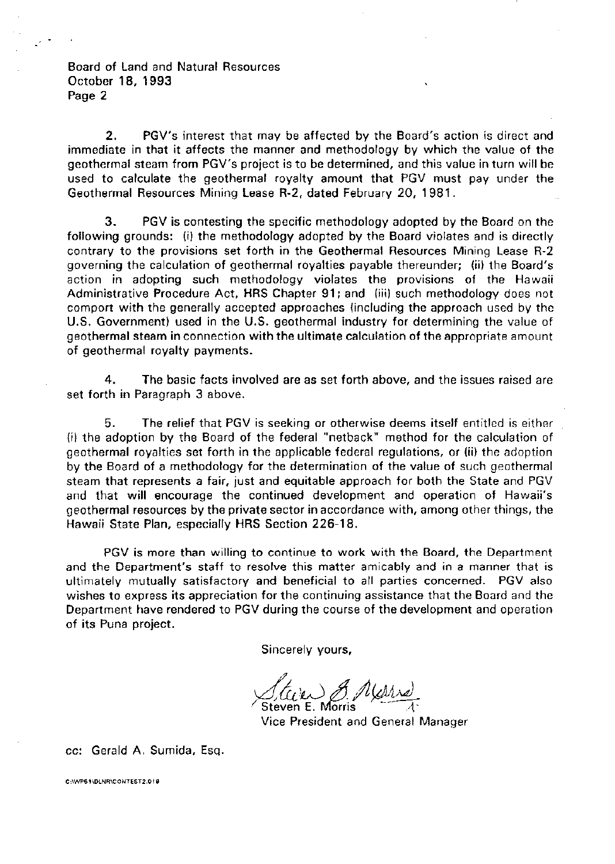Board of Land and Natural Resources October 18, 1993 Page 2

2. PGV's interest that may be affected by the Board's action is direct and immediate in that it affects the manner and methodology by which the value of the geothermal steam from PGV's project is to be determined, and this value in turn will be used to calculate the geothermal royalty amount that PGV must pay under the Geothermal Resources Mining Lease R-2, dated February 20, 1981.

3. PGV is contesting the specific methodology adopted by the Board on the following grounds: (i) the methodology adopted by the Board violates and is directly contrary to the provisions set forth in the Geothermal Resources Mining Lease R-2 governing the calculation of geothermal royalties payable thereunder; (ii) the Board's action in adopting such methodology violates the provisions of the Hawaii Administrative Procedure Act, HRS Chapter 91; and (iii) such methodology does not comport with the generally accepted approaches (including the approach used by the U.S. Government) used in the U.S. geothermal industry for determining the value of geothermal steam in connection with the ultimate calculation of the appropriate amount of geothermal royalty payments.

4. The basic facts involved are as set forth above, and the issues raised are set forth in Paragraph 3 above.

5. The relief that PGV is seeking or otherwise deems itself entitled is either (i) the adoption by the Board of the federal "netback" method for the calculation of geothermal royalties set forth in the applicable federal regulations, or (ii) the adoption by the Board of a methodology for the determination of the value of such geothermal steam that represents a fair, just and equitable approach for both the State and PGV and that will encourage the continued development and operation of Hawaii's geothermal resources by the private sector in accordance with, among other things, the Hawaii State Plan, especially HRS Section 226-18.

PGV is more than willing to continue to work with the Board, the Department and the Department's staff to resolve this matter amicably and in a manner that is ultimately mutually satisfactory and beneficial to all parties concerned. PGV also wishes to express its appreciation for the continuing assistance that the Board and the Department have rendered to PGV during the course of the development and operation of its Puna project.

Sincerely yours,

Staven & Mars)

Vice President and General Manager

cc: Gerald A. Sumida, Esq.

**C:\WP61 \OLNR\CONTEST2.0 I 8**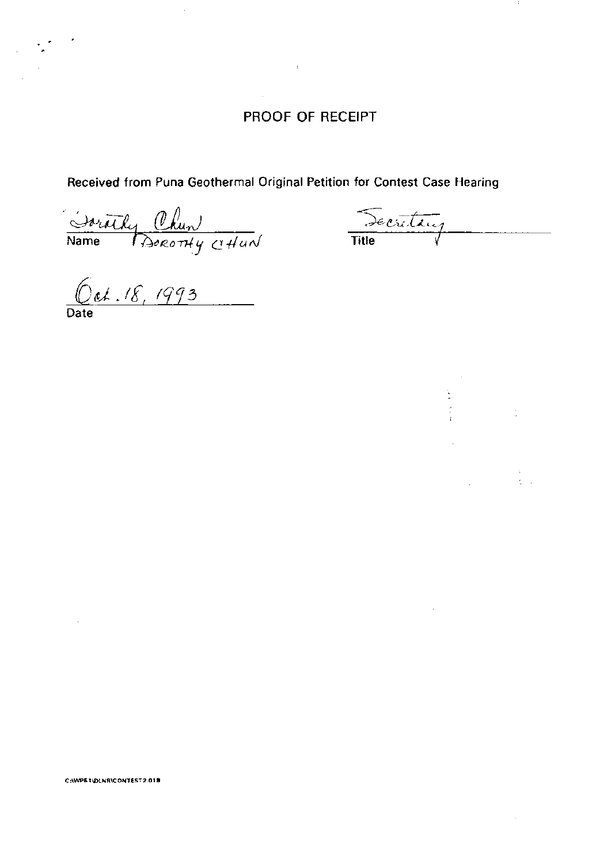## PROOF OF RECEIPT

 $\bar{\chi}$ 

Received from Puna Geothermal Original Petition for Contest Case Hearing

Daruthy Chun

Decretaire **Title** 

 $\label{eq:2.1} \begin{split} \mathcal{L}_{\text{max}}(\mathbf{x}) = \mathcal{L}_{\text{max}}(\mathbf{x}) \\ \mathcal{L}_{\text{max}}(\mathbf{x}) = \mathcal{L}_{\text{max}}(\mathbf{x}) \\ \mathcal{L}_{\text{max}}(\mathbf{x}) = \mathcal{L}_{\text{max}}(\mathbf{x}) \\ \mathcal{L}_{\text{max}}(\mathbf{x}) = \mathcal{L}_{\text{max}}(\mathbf{x}) \\ \mathcal{L}_{\text{max}}(\mathbf{x}) = \mathcal{L}_{\text{max}}(\mathbf{x}) \\ \mathcal{L}_{\text{max}}(\mathbf{x}) = \mathcal{L}_{\text{max}}(\mathbf{x}) \\ \math$ 

 $0$ et. 18, 1993

 $\sim$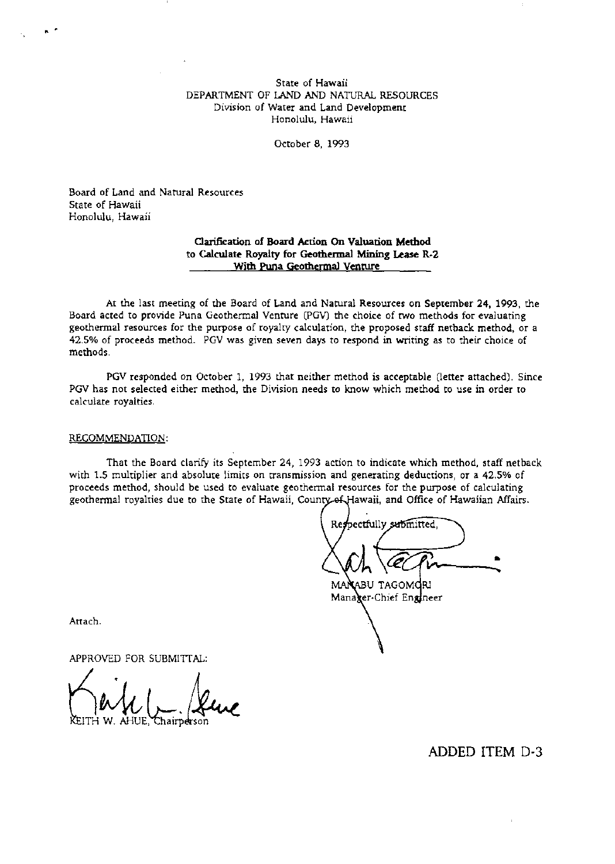#### State of Hawaii DEPARTMENT OF LAND AND NATURAL RESOURCES Division of Water and Land Development **Honolulu, Hawaii**

October 8, 1993

Board of Land and Natural Resources State of Hawaii Honolulu, Hawaii

. '

#### **Clarification of Board Action On Valuation Method to Calculate Royalty for Geothermal Mining Lease R-2 With Puna Geothermal Venture**

At the last meeting of the Board of Land and Natural Resources on September 24, 1993, the Board acted to provide Puna Geothermal Venture (PGV) the choice of two methods for evaluating geothermal resources for the purpose of royalty calculation, the proposed staff netback method, or a 42.5% of proceeds method. PGV was given seven days to respond in writing as to their choice of methods.

PGV responded on October 1, 1993 that neither method is acceptable (letter attached). Since PGV has not selected either method, the Division needs to know which method to use in order to calculate royalties.

#### RECOMMENDATION:

That the Board clarify its September 24, 1993 action to indicate which method, staff netback with 1.5 multiplier and absolute limits on transmission and generating deductions, or a 42.5% of proceeds method, should be used to evaluate geothermal resources for the purpose of calculating geothermal royalties due to the State of Hawaii, County of Hawaii, and Office of Hawaiian Affairs.

Res pectfully submitted. ..

MAI ABU TAGOM**d**RI Manager-Chief Engineer

Attach.

APPROVED FOR SUBMITTAL:

Chairperso

**ADDED ITEM** D-3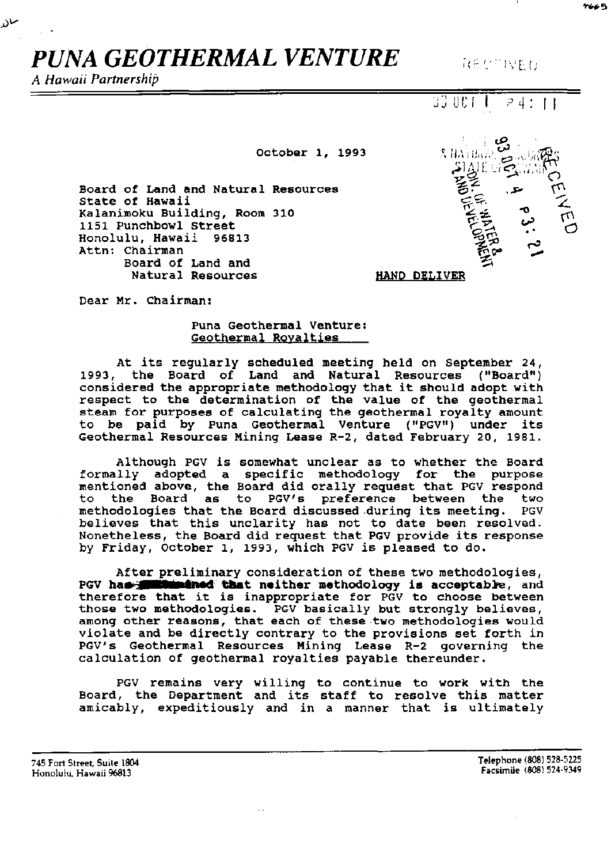# *PUNA GEOTHERMAL VENTURE*

*A Hawaii Partnership* 

مىن

October 1, 1993

8 ПАТНЫЙ HAND DELIVER

 $REV^* WED$ 

 $\sqrt{p^2+1}$ 

•;') *..;J* ur; r

Board of Land and Natural Resources State of Hawaii Kalanimoku Building, Room 310 1151 Punchbowl Street Honolulu, Hawaii 96813 Attn: Chairman Board of Land and Natural Resources

Dear Mr. Chairman:

## Puna Geothermal Venture: Geothermal Royalties

At its regularly scheduled meeting held on September 24, 1993, the Board of Land and Natural Resources ("Board") 1993, the Board of Land and Natural Resources ("Board")<br>considered the appropriate methodology that it should adopt with respect to the determination of the value of the geothermal steam for purposes of calculating the geothermal royalty amount to be paid by Puna Geothermal Venture ("PGV") under its Geothermal Resources Mining Lease R-2, dated February 20, 1981.

Although PGV is somewhat unclear as to whether the Board formally adopted a specific methodology for the purpose mentioned above, the Board did orally request that PGV respond<br>to the Board as to PGV's preference between the two the Board as to PGV's preference between the two methodologies that the Board discussed.during its meeting. PGV believes that this unclarity has not to date been resolved. Nonetheless, the Board did request that PGV provide its response by Friday, October 1, 1993, which PGV is pleased to do.

After preliminary consideration of these two methodologies, PGV has **intimulated that neither methodology is acceptable, and** therefore that it is inappropriate for PGV to choose between those two methodologies. PGV basically but strongly believes, among other reasons, that each of these two methodologies would violate and be directly contrary to the provisions set forth in PGV's Geothermal Resources Mining Lease R-2 governing the calculation of geothermal royalties payable thereunder.

PGV remains very willing to continue to work with the Board, the Department and its staff to resolve this matter amicably, expeditiously and in a manner that is ultimately

745 Fort Street, Suite 1804 Honolulu, Hawaii 96813

Telephone (808) 528-5225 Facsimile (808) 524-9349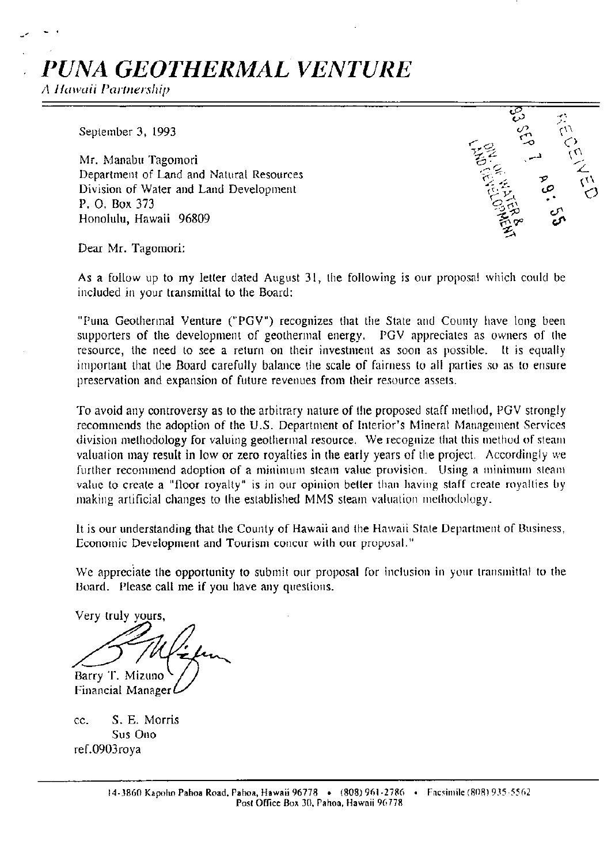# *PUNA GEOTHERMAL VENTURE*

;\ *Hawaii Partnership* 

\_,

September 3, 1993

Mr. Manabu Tagomori Department of Land and Natural Resources Division of Water and Land Development P. 0. Box 373 Honolulu, Hawaii 96809



Dear Mr. Tagomori:

As a follow up to my letter dated August 31, the following is our proposal which could be included in your transmittal to the Board:

"Puna Geothermal Venture ("PGV") recognizes that the State and County have long been supporters of the development of geothermal energy. PGV appreciates as owners of the resource, the need to see a return on their investment as soon as possible. It is equally important that the Board carefully balance the scale of fairness to all parties so as to ensure preservation and expansion of future revenues from their resource assets.

To avoid any controversy as to the arbitrary nature of the proposed staff method, PGV strongly recommends the adoption of the U.S. Department of Interior's Mineral Management Services division methodology for valuing geothermal resource. We recognize that this method of steam valuation may result in low or zero royalties in the early years of the project. Accordingly we further recommend adoption of a minimum steam value provision. Using a minimum steam value to create a "floor royalty" is in our opinion better than having staff create royalties by making artificial changes to the established MMS steam valuation methodology.

It is our understanding that the County of Hawaii and the Hawaii Stale Department of Business, Economic Development and Tourism concur with our proposaL"

We appreciate the opportunity to submit our proposal for inclusion in your transmittal to the 13oard. Please call me if you have any questions.

Very truly yours, Barry T. Mizuno

**Financial Manager** 

cc. S. E. Morris Sus Ono ref.0903roya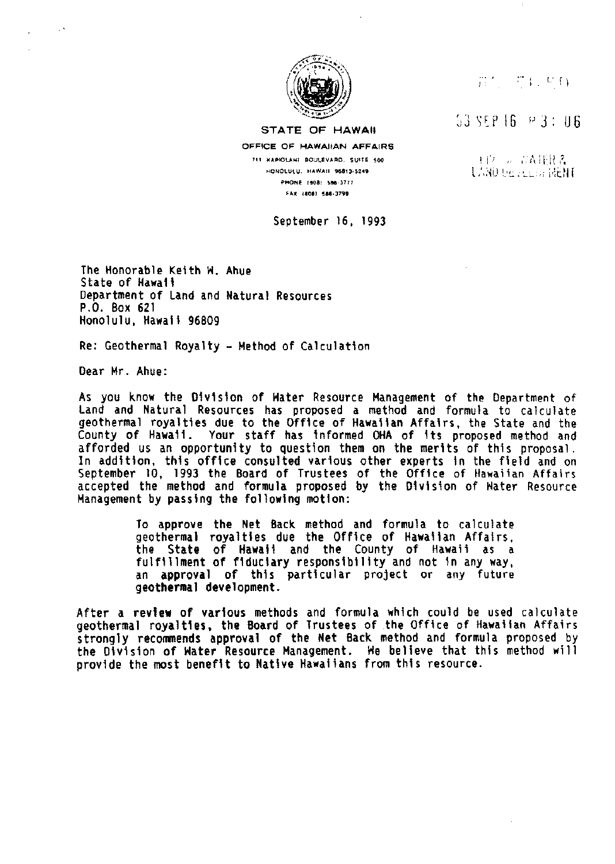

#### STATE OF HAWAII

OFFICE OF HAWAIIAN AFFAIRS 711 KAPIOLANI BOULEVARD. SUITE 500 HONOLULU. HAWAII 96813-5249 PHONE 1808) 586-3777 FAX 18081 586-3799

September 16, 1993

## $\overline{n}$ ',  $\overline{r}$  ,  $\overline{v}$   $\overline{r}$

 $53$  SEP  $16$   $\approx$  3: 06

t 1'. , , rai:R ?, LAND : 02 : 22 : 52 : 14ENF

The Honorable Keith H. Ahue State of Hawaii Department of Land and Natural Resources P.O. Box 621 Honolulu, Hawaii 96809

Re: Geothermal Royalty- Method of Calculation

Dear Mr. Ahue:

As you know the Division of Hater Resource Management of the Department of Land and Natural Resources has proposed a method and formula to calculate geothermal royalties due to the Office of Hawaiian Affairs, the State and the County of Hawaii. Your staff has informed OHA of its proposed method and afforded us an opportunity to question them on the merits of this proposal. In addition, this office consulted various other experts in the field and on September 10, 1993 the Board of Trustees of the Office of Hawaiian Affairs accepted the method and formula proposed by the Division of Hater Resource Management by passing the following motion:

> To approve the Net Back method and formula to calculate geothermal royalties due the Office of Hawaiian Affairs, the State of Hawaii and the County of Hawaii as a fulfillment of fiduciary responsibility and not in any way, an approval of this particular project or any future geothermal development.

After a revtew of various methods and formula which could be used calculate geothermal royalties, the Board of Trustees of the Office of Hawaiian Affairs strongly recommends approval of the Net Back method and formula proposed by the Division of Hater Resource Management. He believe that this method wi 11 provide the most benefit to Native Hawaiians from this resource.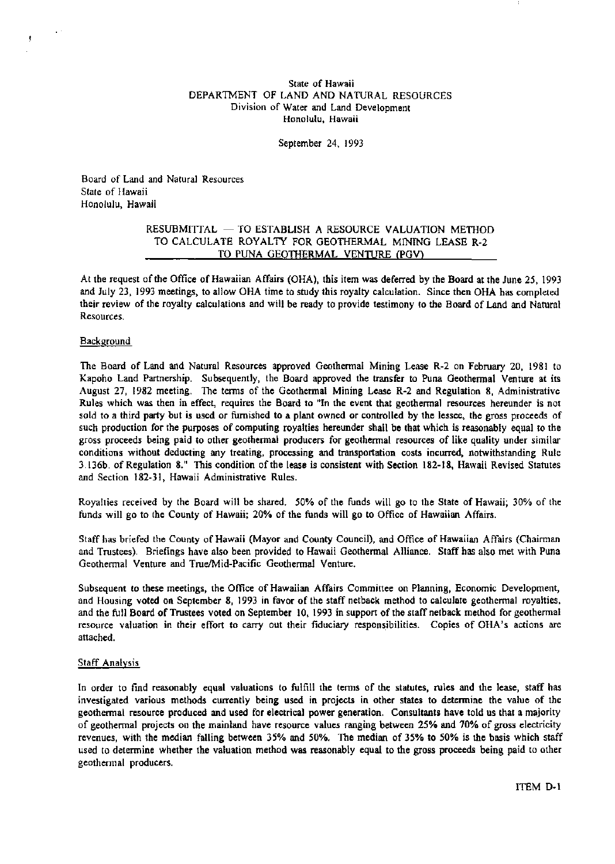State of Hawaii DEPARTMENT OF LAND AND NATURAL RESOURCES Division of Water and Land Development Honolulu, Hawaii

September 24, 1993

Board of Land and Natural Resources State of Hawaii Honolulu, Hawaii

#### RESUBMITTAL - TO ESTABLISH A RESOURCE VALUATION METHOD TO CALCULATE ROYALTY FOR GEOTHERMAL MINING LEASE R-2 TO PUNA GEOTHERMAL VENTURE (PGV)

At the request of the Office of Hawaiian Affairs (OHA), this item was deferred by the Board at the June 25, 1993 and July 23, 1993 meetings, to allow OHA time to study this royalty calculation. Since then OHA has completed their review of the royalty calculations and will be ready to provide testimony to the Board of Land and Natural **Resources.** 

#### **Background**

The Board of Land and Natural Resources approved Geothermal Mining Lease R-2 on February 20, 1981 to Kapoho Land Partnership. Subsequently, the Board approved the transfer to Puna Geothermal Venture at its August 27, 1982 meeting. The terms of the Geothermal Mining Lease R-2 and Regulation 8, Administrative Rules which was then in effect, requires the Board to "In the event that geothermal resources hereunder is not sold to a third party but is used or furnished to a plant owned or controlled by the lessee, the gross proceeds of such production for the purposes of computing royalties hereunder shall be that which is reasonably equal to the gross proceeds being paid to other geothermal producers for geothermal resources of like quality under similar conditions without deducting any treating, processing and transportation costs incurred, notwithstanding Rule 3.136b. of Regulation 8." This condition of the lease is consistent with Section 182-18, Hawaii Revised Statutes and Section 182-31, Hawaii Administrative Rules.

Royalties received by the Board will be shared. 50% of the funds will go to the State of Hawaii; 30% of the funds will go to the County of Hawaii; 20% of the funds will go to Office of Hawaiian Affairs.

Staff has briefed the County of Hawaii (Mayor and County Council), and Office of Hawaiian Affairs (Chairman and Trustees). Briefings have also been provided to Hawaii Geothermal Alliance. Staff has also met with Puna Geothermal Venture and True/Mid-Pacific Geothermal Venture.

Subsequent to these meetings, the Office of Hawaiian Affairs Committee on Planning, Economic Development, and Housing voted on September 8, 1993 in favor of the staff netback method to calculate geothermal royalties, and the full Board of Trustees voted on September 10, 1993 in support of the staffnetback method for geothermal resource valuation in their effort to carry out their fiduciary responsibilities. Copies of OHA's actions are attached.

#### Staff Analysis

In order to find reasonably equal valuations to fulfill the terms of the statutes, rules and the lease, staff has investigated various methods currently being used in projects in other states to determine the value of the geothermal resource produced and used for electrical power generation. Consultants have told us that a majority of geothermal projects on the mainland have resource values ranging between 25% and 70% of gross electricity revenues, with the median falling between 35% and 50%. The median of 35% to *50%* is the basis which staff used to determine whether the valuation method was reasonably equal to the gross proceeds being paid to other geothermal producers.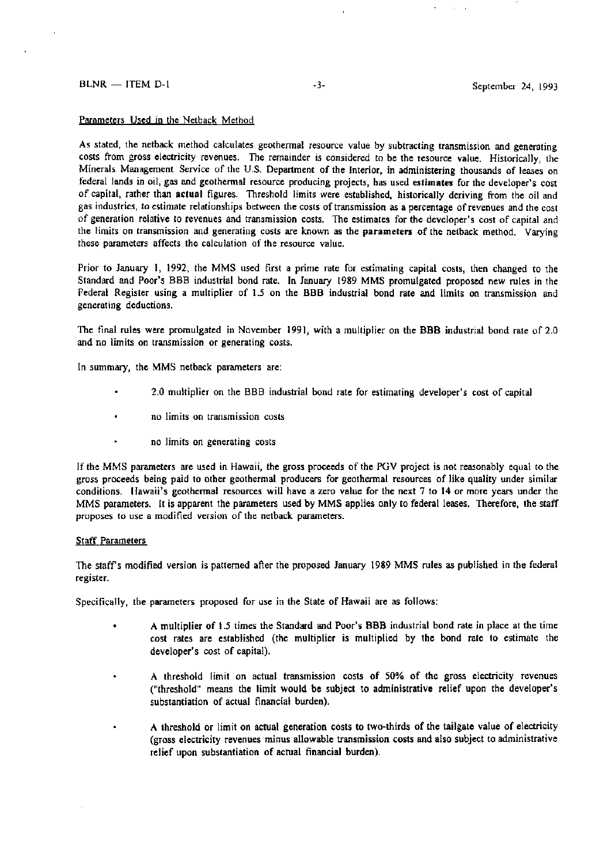#### Parameters Used in the Netback Method

As stated, the netback method calculates geothermal resource value by subtracting transmission and generating costs from gross electricity revenues. The remainder is considered to be the resource value. Historically, the Minerals Management Service of the U.S. Department of the Interior, in administering thousands of leases on federal lands in oil, gas and geothermal resource producing projects, has used estimates for the developer's cost of capital, rather than actual figures. Threshold limits were established, historically deriving from the oil and gas industries, to estimate relationships between the costs of transmission as a percentage of revenues and the cost of generation relative to revenues and transmission costs. The estimates for the developer's cost of capital and the limits on transmission and generating costs are known as the parameters of the netback method. Varying these parameters affects the calculation of the resource value.

Prior to January I, 1992, the MMS used first a prime rate for estimating capital costs, then changed to the Standard and Poor's BBB industrial bond rate. In January 1989 MMS promulgated proposed new rules in the Federal Register using a multiplier of 1.5 on the BBB industrial bond rate and limits on transmission and generating deductions.

The final rules were promulgated in November 1991, with a multiplier on the BBB industrial bond rate of 2.0 and no limits on transmission or generating costs.

In summary, the MMS netback parameters are:

- 2.0 multiplier on the BBB industrial bond rate for estimating developer's cost of capital
- **no limits on transmission costs**
- no limits on generating costs

If the MMS parameters are used in Hawaii, the gross proceeds of the PGV project is not reasonably equal to the gross proceeds being paid to other geothermal producers for geothermal resources of like quality under similar conditions. Hawaii's geothermal resources will have a zero value for the next 7 to 14 or more years under the MMS parameters. It is apparent the parameters used by MMS applies only to federal leases. Therefore, the staff proposes to use a modified version of the netback parameters.

#### **Staff Parameters**

The staff's modified version is patterned after the proposed January 1989 MMS rules as published in the federal register.

Specifically, the parameters proposed for use in the State of Hawaii are as follows:

- A multiplier of 1.5 times the Standard and Poor's BBR industrial bond rate in place at the time cost rates are established (the multiplier is multiplied by the bond rate to estimate the developer's cost of capital).
- A threshold limit on actual transmission costs of 50% of the gross electricity revenues ٠ ("threshold" means the limit would be subject to administrative relief upon the developer's substantiation of actual financial burden).
- A threshold or limit on actual generation costs to two-thirds of the tailgate value of electricity (gross electricity revenues minus allowable transmission costs and also subject to administrative relief upon substantiation of actual financial burden).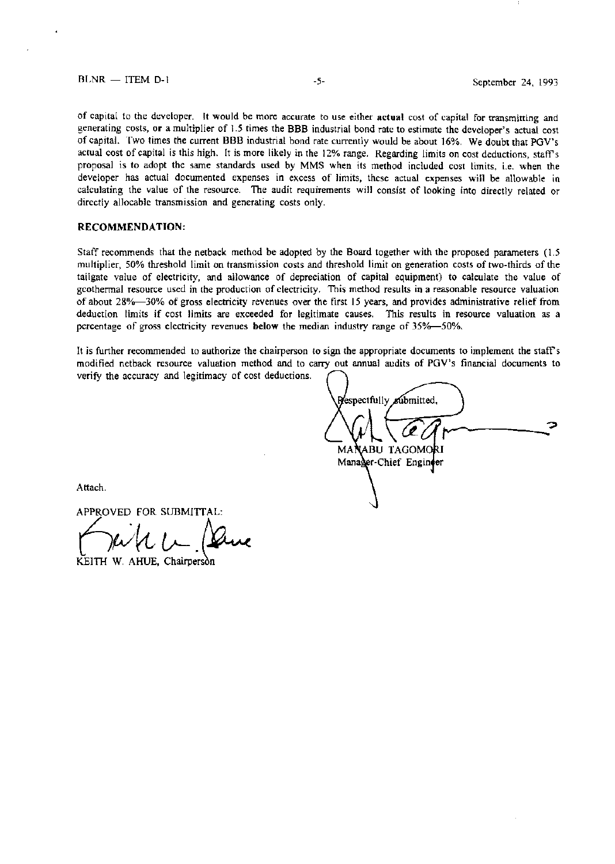## BLNR - ITEM D-1 -5- September 24, 1993

**of capital to the developer. It would be more accurate to use either actual cost of capital for transmitting and**  generating costs, **or** a multiplier of 1.5 times the 888 industrial bond rate to estimate the developer's actual cost of capital. Two times the current 888 industrial bond rate currently would be about 16%. We doubt that PGV's actual cost of capital is this high. It is more likely in the 12% range. Regarding limits on cost deductions, staff's proposal is to adopt the same standards used by MMS when its method included cost limits, i.e. when the developer has actual documented expenses in excess of limits, these actual expenses will be allowable in calculating the value of the resource. The audit requirements will consist of looking into directly related or directly allocable transmission and generating costs only.

#### **RECOMMENDATION:**

Staff recommends that the netback method be adopted by the Board together with the proposed parameters ( 1.5 multiplier, 50% threshold limit on transmission costs and threshold limit on generation costs of two-thirds of the tailgate value of electricity, and allowance of depreciation of capital equipment) to calculate the value of geothermal resource used in the production of electricity. This method results in a reasonable resource valuation of about 28%-30% of gross electricity revenues over the first 15 years, and provides administrative relief from **deduction limits if cost limits are exceeded for legitimate causes. This results in resource valuation as a**  percentage of gross electricity revenues **below** the median industry range of 35%--50%.

It is further recommended to authorize the chairperson to sign the appropriate documents to implement the staff's modified netback resource valuation method and to carry out annual audits of PGV's financial documents to verify the accuracy and legitimacy of cost deductions.

Respectfully submitted. ------:-=> **TAGOM** MAI Manager-Chief Engineer

Attach.

APPROVED FOR SUBMITTAL:

KEITH W. AHUE, Chairperson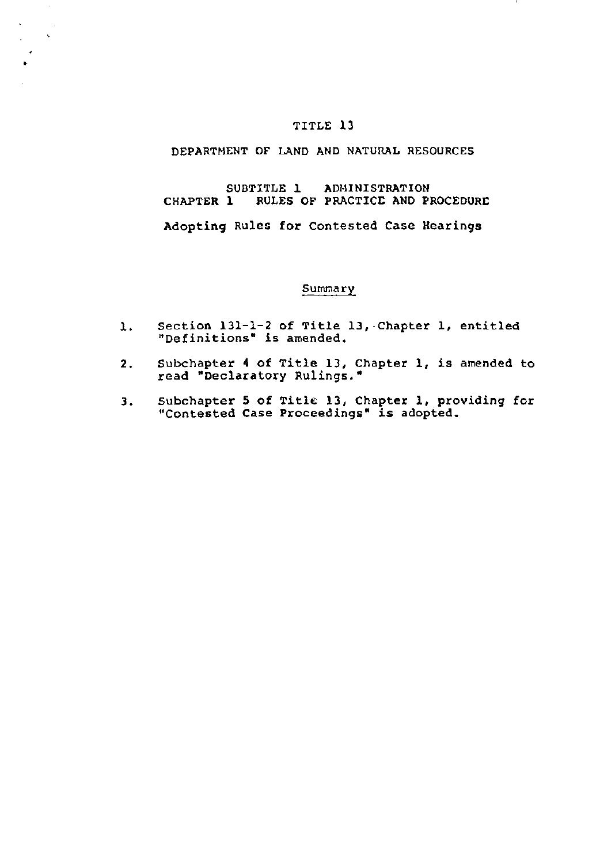## TITLE 13

•

 $\sim$  $\sim$  $\sim$ 

## DEPARTMENT OF LAND AND NATURAL RESOURCES

## SUBTITLE 1 ADMINISTRATION CHAPTER 1 RULES OF PRACTICE AND PROCEDURE

Adopting Rules for Contested Case Hearings

#### Summary

- 1. Section 131-1-2 of Title 13,·Chapter 1, entitled "Definitions" is amended.
- 2. Subchapter 4 of Title 13, Chapter 1, is amended to read "Declaratory Rulings."
- 3. Subchapter 5 of Title 13, Chapter 1, providing for "Contested Case Proceedings" is adopted.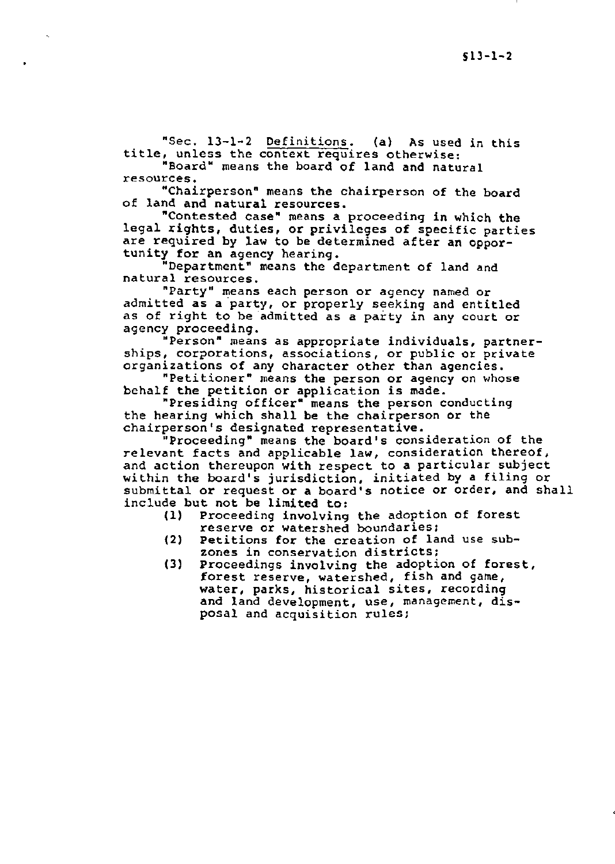"Sec. 13-1-2 Definitions. (a) As used in this title, unless the context requires otherwise:

"Board" means the board of land and natural resources.

•

"Chairperson" means the chairperson of the board of land and natural resources.

"Contested case" means a proceeding in which the legal rights, duties, or privileges of specific parties are required by law to be determined after an opportunity for an agency hearing.

"Department" means the department of land and natural resources.

"Party" means each person or agency named or admitted as a party, or properly seeking and entitled as of right to be admitted as a party in any court or agency proceeding.

"Person" means as appropriate individuals, partnerships, corporations, associations, or public or private organizations of any character other than agencies.

"Petitioner" means the person or agency on whose behalf the petition or application is made.

"Presiding officer" means the person conducting the hearing which shall be the chairperson or the chairperson's designated representative.

"Proceeding" means the board's consideration of the relevant facts and applicable law, consideration thereof, and action thereupon with respect to a particular subject within the board's jurisdiction, initiated by a filing or submittal or request or a board's notice or order, and shall include but not be limited to:<br>(1) Proceeding involving

- Proceeding involving the adoption of forest reserve or watershed boundaries;
- (2) Petitions for the creation of land use subzones in conservation districts;
- (3) Proceedings involving the adoption of forest, forest reserve, watershed, fish and game, water, parks, historical sites, recording and land development, use, management, disposal and acquisition rules;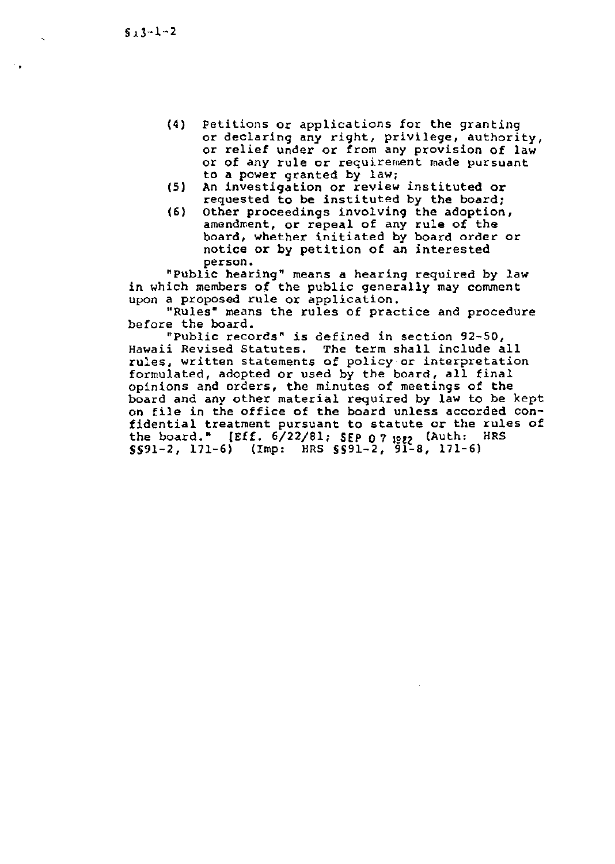•

- (4) Petitions or applications for the granting or declaring any right, privilege, authority, or relief under or from any provision of law or of any rule or requirement made pursuant to a power granted by law:
- (5) An investigation or review instituted or requested to be instituted by the board;
- (6) Other proceedings involving the adoption, amendment, or repeal of any rule of the board, whether initiated by board order or notice or by petition of an interested person.

"Public hearing" means a hearing required by law in which members of the public generally may comment upon a proposed rule or application.

"Rules" means the rules of practice and procedure before the board.

"Public records" is defined in section 92-50, Hawaii Revised Statutes. The term shall include all rules, written statements of policy or interpretation formulated, adopted or used by the board, all final opinions and orders, the minutes of meetings of the board and any other material required by law to be kept on file in the office of the board unless accorded confidential treatment pursuant to statute or the rules of the board." [Eff. 6/22/81; SEP 0 7 1982 (Auth: HRS  $\S591-2$ , 171-6) (Imp: HRS  $\S591-2$ ,  $91-8$ , 171-6)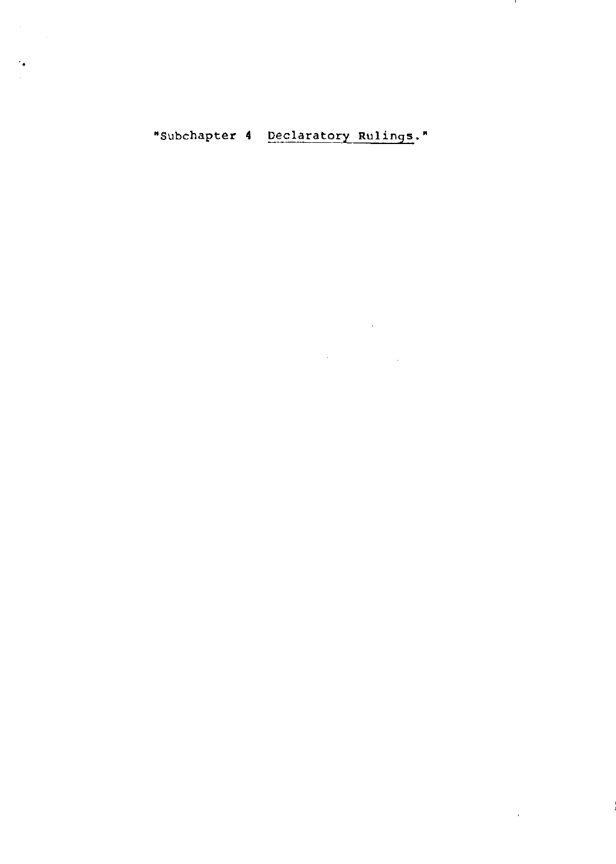# "Subchapter 4 Declaratory Rulings."

 $\sim 10^{-11}$ 

..

 $\sim 10^7$ 

 $\label{eq:2.1} \frac{1}{\sqrt{2}}\int_{\mathbb{R}^3}\frac{1}{\sqrt{2}}\left(\frac{1}{\sqrt{2}}\right)^2\frac{1}{\sqrt{2}}\left(\frac{1}{\sqrt{2}}\right)^2\frac{1}{\sqrt{2}}\left(\frac{1}{\sqrt{2}}\right)^2\frac{1}{\sqrt{2}}\left(\frac{1}{\sqrt{2}}\right)^2.$  $\label{eq:2.1} \frac{1}{\sqrt{2\pi}}\sum_{i=1}^n\frac{1}{\sqrt{2\pi}}\sum_{i=1}^n\frac{1}{\sqrt{2\pi}}\sum_{i=1}^n\frac{1}{\sqrt{2\pi}}\sum_{i=1}^n\frac{1}{\sqrt{2\pi}}\sum_{i=1}^n\frac{1}{\sqrt{2\pi}}\sum_{i=1}^n\frac{1}{\sqrt{2\pi}}\sum_{i=1}^n\frac{1}{\sqrt{2\pi}}\sum_{i=1}^n\frac{1}{\sqrt{2\pi}}\sum_{i=1}^n\frac{1}{\sqrt{2\pi}}\sum_{i=1}^n\$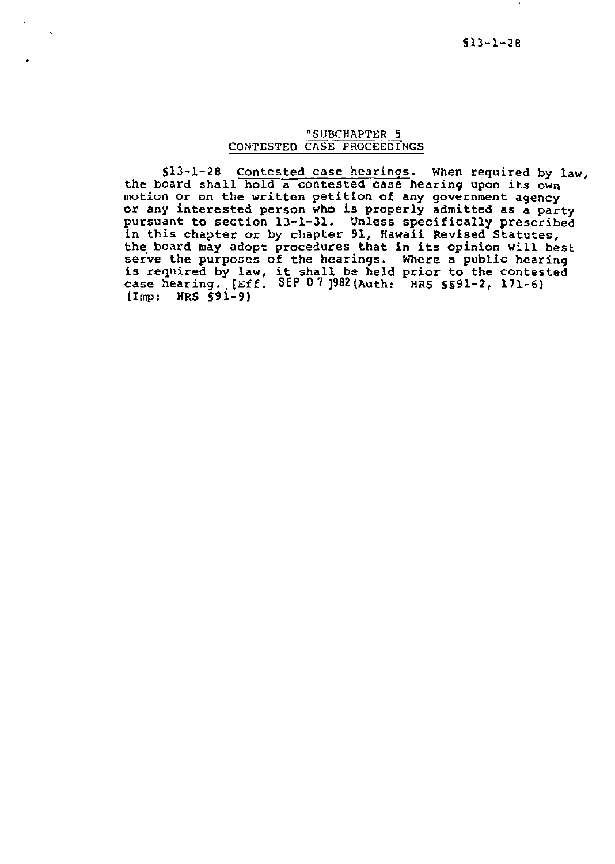## "SUBCHAPTER S CONTESTED CASE PROCEEDINGS

..

513-1-28 Contested case hearings. When required by law, the board shall hold a contested case hearing upon its own motion or on the written petition of any government agency or any interested person who is properly admitted as a party pursuant to section 13-1-31. Unless specifically prescribed in this chapter or by chapter 91, Hawaii Revised Statutes, the board may adopt procedures that in its opinion will best serve the purposes of the hearings. Where a public hearing is required by law, it shall be held prior to the contested case hearing. [Eff. SEP 07 ]982 (Auth: HRS 5591-2, 171-6) (Imp: HRS §91-9)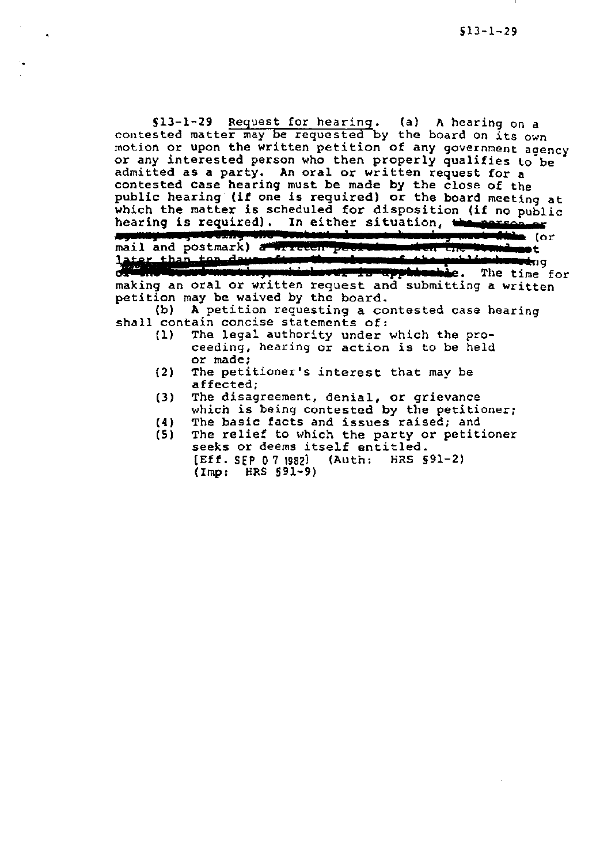513-l-29 Request for hearing. (a) A hearing on a contested matter may be requested by the board on its own motion or upon the written petition of any government aoency or any interested person who then properly qualifies to be admitted as a party. An oral or written request for a contested case hearing must be made by the close of the public hearing (if one is required) or the board meeting at which the matter is scheduled for disposition (if no public hearing is required). In either situation, the person or<br>**Again person in the context description was delin** (o (or mail and postmark) a Writech people who mail and postmark) a writech problem when the boundary to  $\frac{1}{2}$  term than the day of the street with the special control of  $\frac{1}{2}$ making an oral or written request and submitting a written petition may be waived by the board. **: in interferent**ing<br>**be.** The time for (b) A petition requesting a contested case hearing

•

- shall contain concise statements of:<br>(1) The legal authority under The legal authority under which the proceeding, hearing or action is to be held or made;
	- (2) The petitioner's interest that may be affected;
	- (3) The disagreement, denial, or grievance which is being contested by the petitioner;
	- $(4)$ The basic facts and issues raised; and
	- (5) The relief to which the party or petitioner seeks or deems itself entitled.<br>[Eff. SEP 07 1982] (Auth: HRS § (Auth: HRS §91-2) (Imp: HRS 591-9)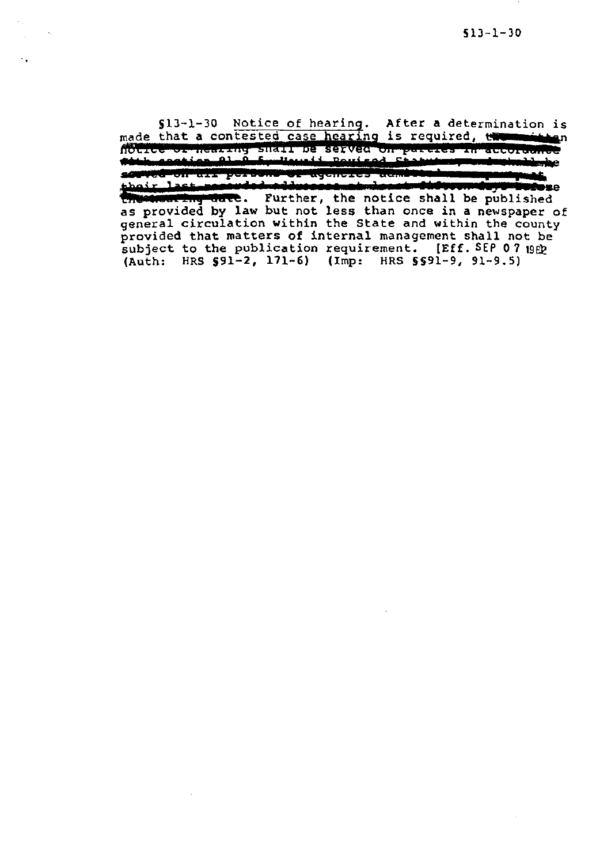§13-1-30 Notice of hearing. After a determination is made that a contested case hearing is required, the manifolder or agencies acmini **CONVERTITION IN POPUL** their last seconded adducess at department of the published as provided by law but not less than once in a newspaper of general circulation within the State and within the county provided that matters of internal management shall not be subject to the publication requirement. [Eff. SEP 07 1989] (Auth: HRS 591-2, 171-6) (Imp: HRS 5§91-9, 91-9.5)

. .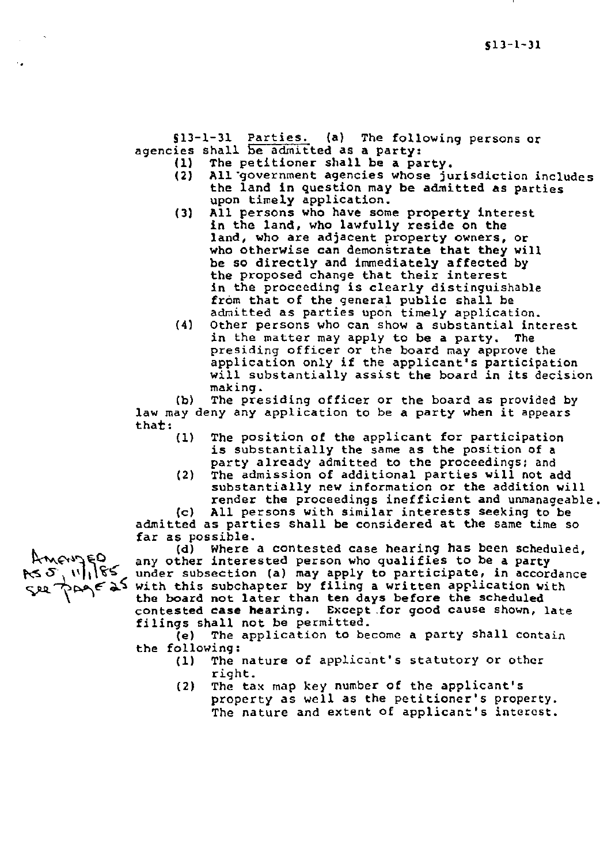Sll-1-31 Parties. (a) The following persons or agencies shall be admitted as a party:<br>(1) The petitioner shall be a pa

- (1) The petitioner shall be a party.<br>(2) All government agencies whose ju
- All government agencies whose jurisdiction includes the land in question may be admitted as parties upon timely application.
- (3) All persons who have some property interest in the land, who lawfully reside on the land, who are adjacent property owners, or who otherwise can demonstrate that they will be so directly and immediately affected by the proposed change that their interest in the proceeding is clearly distinguishable from that of the general public shall be admitted as parties upon timely application.
- (4) Other persons who can show a substantial interest in the matter may apply to be a party. The presiding officer or the board may approve the application only if the applicant's participation will substantially assist the board in its decision making.

(b) The presiding officer or the board as provided by law may deny any application to be a party when it appears tha**t:**<br>(1)

- The position of the applicant for participation is substantially the same as the position of a party already admitted to the proceedings; and
	- (2) The admission of additional parties will not add substantially new information or the addition will render the proceedings inefficient and unmanageable.

(c) All persons with similar interests seeking to be admitted as parties shall be considered at the same time so far as possible.

(d) Where a contested case hearing has been scheduled, any other interested person who qualifies to be a party under subsection (a) may apply to participate, in accordance  $\zeta$   $\chi$   $\zeta$   $\zeta$   $\zeta$   $\zeta$   $\zeta$   $\zeta$   $\zeta$   $\zeta$   $\zeta$   $\zeta$   $\zeta$   $\zeta$   $\zeta$   $\zeta$   $\zeta$   $\zeta$   $\zeta$   $\zeta$   $\zeta$   $\zeta$   $\zeta$   $\zeta$   $\zeta$   $\zeta$   $\zeta$   $\zeta$   $\zeta$   $\zeta$   $\zeta$   $\zeta$   $\zeta$   $\zeta$   $\zeta$   $\zeta$   $\zeta$  the board not later than ten days before the scheduled contested case hearing. Except .for good cause shown, late

filings shall not be permitted.<br>(e) The application to be The application to become a party shall contain the following:<br>(1) The

- The nature of applicant's statutory or other right.
	- (2) The tax map key number of the applicant's property as well as the petitioner's property. The nature and extent of applicant's interest.

AMENJED  $k^2$   $2^{111}$   $162$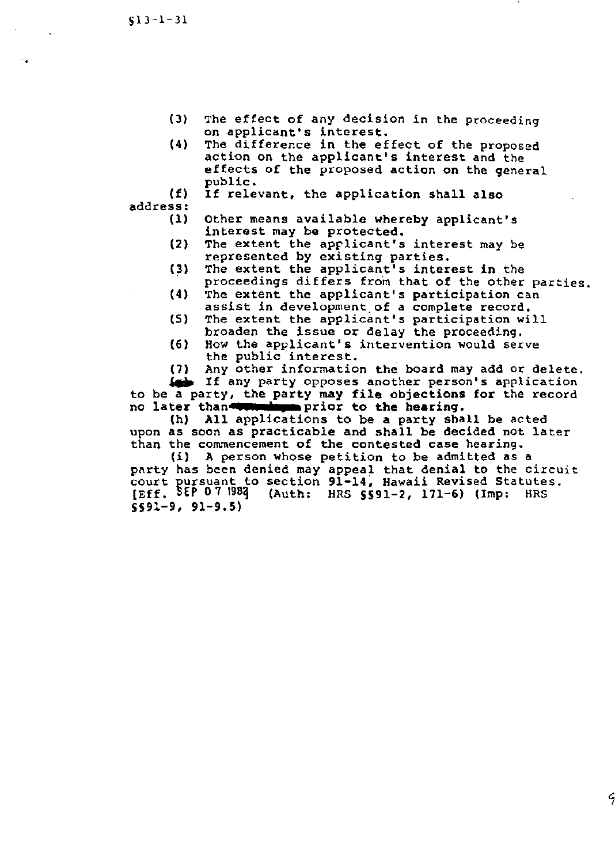•

- (3) The effect of any decision in the proceeding on applicant's interest.
- $(4)$ The difference in the effect of the proposed action on the applicant's interest and the effects of the proposed action on the general public.
- (f) address: If relevant, the application shall also
	- (1) Other means available whereby applicant's interest may be protected.
	- (2) The extent the applicant's interest may be represented by existing parties.
	- (3) The extent the applicant's interest in the proceedings differs from that of the other parties.
	- (4) The extent the applicant's participation can assist in development.of a complete record.
	- (S) The extent the applicant's participation will broaden the issue or delay the proceeding.
	- (6) How the applicant's intervention would serve the public interest.
	- (7) Any other information the board may add or delete.

 $\frac{1}{2}$  If any party opposes another person's application to be a party, the party may file objections for the record no later than we want prior to the hearing.<br>(h) All applications to be a party sha

All applications to be a party shall be acted upon as soon as practicable and shall be decided not later than the commencement of the contested case hearing.

(i) A person whose petition to be admitted as a party has been denied may appeal that denial to the circuit court pursuant to section 91-14, Hawaii Revised Statutes.<br>[Eff. SEP 07 1983] (Auth: HRS SS91-2, 171-6) (Imp: HRS  $(Auth: HRS S591-2, 171-6)$  (Imp: HRS 5591-9, 91-9.5)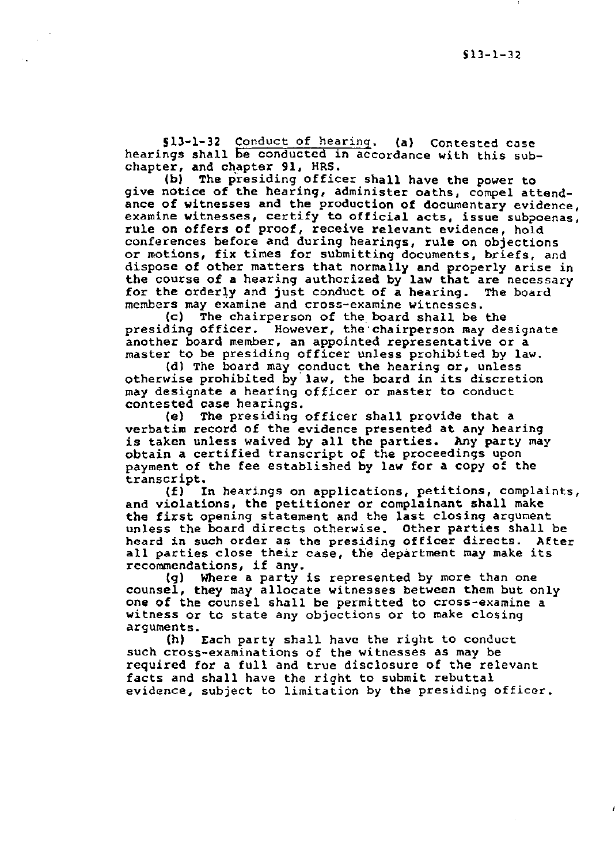Sl3-l-32 Conduct of hearing. (a) Contested case hearings shall be conducted in accordance with this subchapter, and chapter 91, HRS.

(b) The presiding officer shall have the power to give notice of the hearing, administer oaths, compel attendance of witnesses and the production of documentary evidence, examine witnesses, certify to official acts, issue subpoenas, rule on offers of proof, receive relevant evidence, hold conferences before and during hearings, rule on objections or motions, fix times for submitting documents, briefs, and dispose of other matters that normally and properly arise in the course of a hearing authorized by law that are necessary for the orderly and just conduct of a hearing. The board for the orderly and just conduct of a hearing. members may examine and cross-examine witnesses.

(c) The chairperson of the board shall be the presiding officer. However, the·chairperson may designate another board member, an appointed representative or a master to be presiding officer unless prohibited by law.

(d) The board may conduct the hearing or, unless otherwise prohibited by law, the board in its discretion may designate a hearing officer or master to conduct contested case hearings.

(e) The presiding officer shall provide that a verbatim record of the evidence presented at any hearing is taken unless waived by all the parties. Any party may obtain a certified transcript of the proceedings upon payment of the fee established by law for a copy of the transcript.<br>(f) I

In hearings on applications, petitions, complaints, and violations, the petitioner or complainant shall make the first opening statement and the last closing argument unless the board directs otherwise. Other parties shall be heard in such order as the presiding officer directs. After all parties close their case, the department may make its recommendations, if any.

(g) Where a party is represented by more than one counsel, they may allocate witnesses between them but only one of the counsel shall be permitted to cross-examine a witness or to state any objections or to make closing arguments.

(h) Each party shall have the right to conduct such cross-examinations of the witnesses as may be required for a full and true disclosure of the relevant facts and shall have the right to submit rebuttal evidence, subject to limitation by the presiding officer.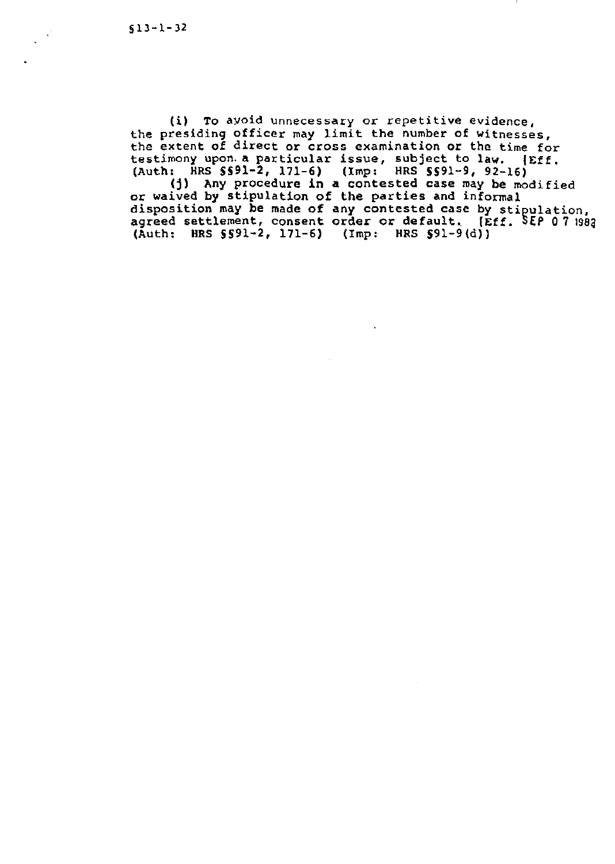$\mathcal{A}^{\mathcal{A}}$ 

(i) To avoid unnecessary or repetitive evidence, the presiding officer may limit the number of witnesses, the extent of direct or cross examination or the time for testimony upon. a particular issue, subject to law. (Eff. (Auth: HRS SS91-2, 171-6) (Imp: HRS SS91-9, 92-16)

(j) Any procedure in a contested case may be modified or waived by stipulation of the parties and informal disposition may be made of any contested case by stipulation, agreed settlement, consent order or default. [Eff. SEP 0 7 1982 (Auth: HRS SS9l-2, 171-6) (Imp: HRS S91-9 (d))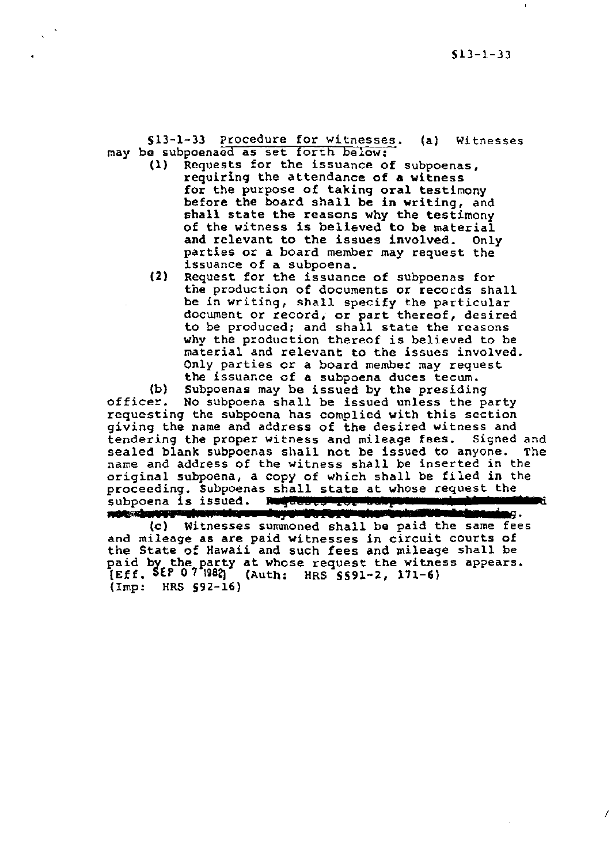I

§13-l-33 Procedure for witnesses. (a) Witnesses may be subpoenaed as set forth below:<br>(1) Requests for the issuance of

- Requests for the issuance of subpoenas, requiring the attendance of a witness for the purpose of taking oral testimony before the board shall be in writing, and shall state the reasons why the testimony of the witness is believed to be material and relevant to the issues involved. Only parties or a board member may request the issuance of a subpoena.
- (2) Request for the issuance of subpoenas for the production of documents or records shall be in writing, shall specify the particular document or record, or part thereof, desired to be produced; and shall state the reasons why the production thereof is believed to be material and relevant to the issues involved. Only parties or a board member may request the issuance of a subpoena duces tecum.

(b) Subpoenas may be issued by the presiding officer. No subpoena shall be issued unless the party requesting the subpoena has complied with this section giving the name and address of the desired witness and tendering the proper witness and mileage fees. Signed and<br>sealed blank subpoenas shall not be issued to anyone. The sealed blank subpoenas shall not be issued to anyone. name and address of the witness shall be inserted in the original subpoena, a copy of which shall be filed in the proceeding. Subpoenas shall state at whose request the subpoena is issued. **Rightway Tor the procedure in the subpoena** ori<br>pro<br>sub<br>and<br>and

net develope interesting to the state of the same fees (c) Witnesses summoned shall be paid the same fees and mileage as are paid witnesses in circuit courts of the State of Hawaii and such fees and mileage shall be paid by the party at whose request the witness appears. [Eff. SEP 0 7 1982) (Auth: HRS §§91-2, 171-6) (Imp: HRS 592-16)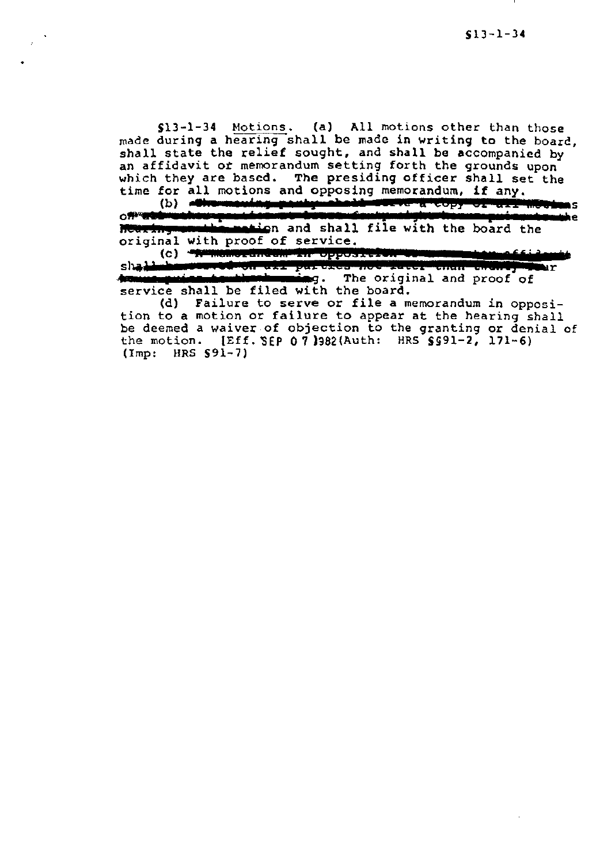Sl3-l-34 Motions. (a) All motions other than those made during a hearing shall be made in writing to the boarc, shall state the relief sought, and shall be accompanied by an affidavit or memorandum setting forth the grounds upon which they are based. The presiding officer shall set the time for all motions and opposing memorandum, if any.<br>(b) **Chromodag panty-chall weave a copy of all** 

ÌЯ. o <del>; and the street position and the board standard global the sense put can tam th</del>e sense of the board the sense of the board the **Mouring combies motion** and shall<br>original with proof of service.

(c) www.insect.com in opposition we dwan all purcies not interventif entire, in shad **r**ar service shall be filed with the board.

(d) Failure to serve or file a memorandum in opposition to a motion or failure to appear at the hearing shall be deemed a waiver of objection to the granting or denial of the motion.  $[Eff. SEP 0 7]$ 982(Auth: HRS SS91-2, 171-6) (Imp: HRS §91-7)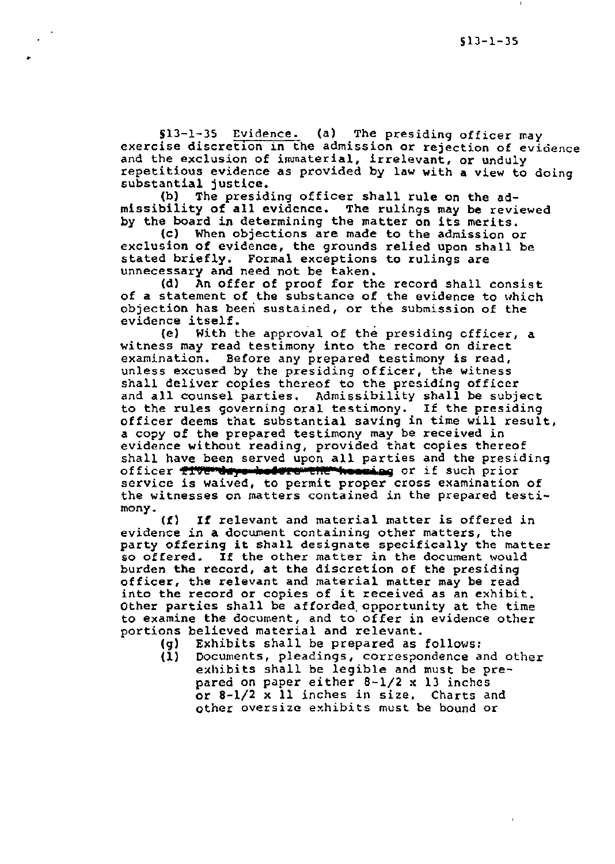513-1-35 Evidence. (a) The presiding officer may exercise discretion in the admission or rejection of evidence and the exclusion of immaterial, irrelevant, or unduly repetitious evidence as provided by law with a view to doing substantial justice.

(b) The presiding officer shall rule on the admissibility of all evidence. The rulings may be reviewed by the board in determining the matter on its merits.

•

(c) When objections are made to the admission or exclusion of evidence, the grounds relied upon shall be stated briefly. Formal exceptions to rulings are unnecessary and need not be taken.<br>(d) An offer of proof for th

An offer of proof for the record shall consist of a statement of the substance of the evidence to which objection has beeri sustained, or the submission of the evidence itself.

(e) With the approval of the presiding cfficer, a witness may read testimony into the record on direct examination. Before any prepared testimony is read, unless excused by the presiding officer, the witness shall deliver copies thereof to the presiding officer and all counsel parties. Admissibility shall be subject to the rules governing oral testimony. If the presiding officer deems that substantial saving in time will result, a copy of the prepared testimony may be received in evidence without reading, provided that copies thereof shall have been served upon all parties and the presiding officer flyerdays holore the hossing or if such prior service is waived, to permit proper cross examination of the witnesses on matters contained in the prepared testi-mony.

(f) If relevant and material matter is offered in evidence in a document containing other matters, the party offering it shall designate specifically the matter so offered. If the other matter in the document would burden the record, at the discretion of the presiding officer, the relevant and material matter may be read into the record or copies of it received as an exhibit. Other parties shall be afforded.opportunity at the time to examine the document, and to offer in evidence other portions believed material and relevant.

- (g) Exhibits shall be prepared as follows:<br>(1) Documents, pleadings, correspondence a
- Documents, pleadings, correspondence and other exhibits shall be legible and must be prepared on paper either 8-1/2 x 13 inches or 8-1/2 x 11 inches in size. Charts and other oversize exhibits must be bound or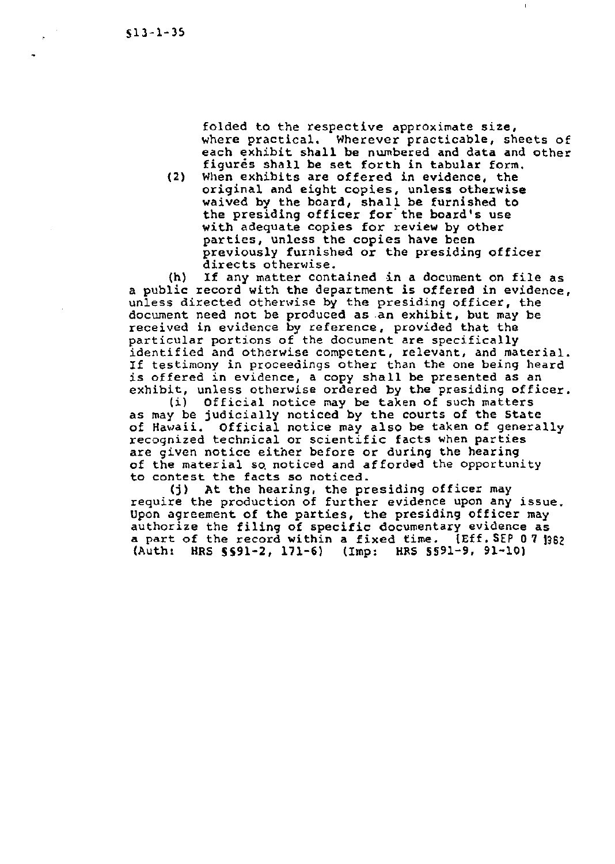folded to the respective approximate size, where practical, Wherever practicable, sheets of each exhibit shall be numbered and data and other figures shall be set forth in tabular form.

(2) When exhibits are offered in evidence, the original and eight copies, unless otherwise waived by the board, shall be furnished to the presiding officer for' the board's use with adequate copies for review by other parties, unless the copies have been previously furnished or the presiding officer directs otherwise.

(h) If any matter contained in a document on file as a public record with the department is offered in evidence, unless directed otherwise by the presiding officer, the document need not be produced as .an exhibit, but may be received in evidence by reference, provided that the particular portions of the document are specifically identified and otherwise competent, relevant, and material. If testimony in proceedings other than the one being heard is offered in evidence, a copy shall be presented as an exhibit, unless otherwise ordered by the presiding officer.

(i) Official notice may be taken of such matters as may be judicially noticed by the courts of the State of Hawaii. Official notice may also be taken of generally recognized technical or scientific facts when parties are given notice either before or during the hearing of the material so. noticed and afforded the opportunity to contest the facts so noticed.

(j) At the hearing, the presiding officer may require the production of further evidence upon any issue. Upon agreement of the parties, the presiding officer may authorize the filing of specific documentary evidence as a part of the record within a fixed time. [Eff.SEP 07 1362] (Auth: HRS §§91-2, 171-6) (Imp: HRS §§91-9, 91-10)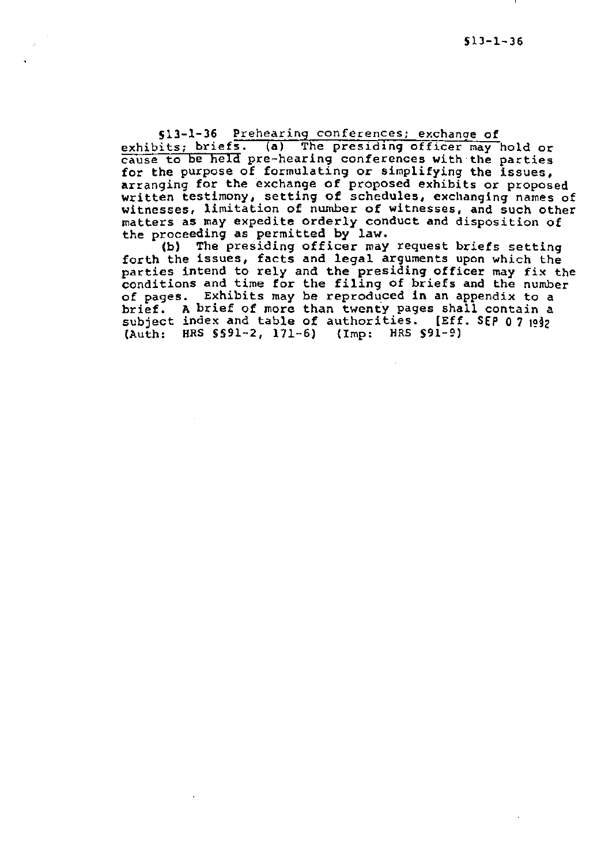§13-l-36 Prehearing conferences: exchange of exhibits; briefs. (a) The presiding officer may hold or cause to be held pre-hearing conferences with the parties for the purpose of formulating or simplifying the issues, arranging for the exchange of proposed exhibits or proposed written testimony, setting of schedules, exchanging names of witnesses, limitation of number of witnesses, and such other matters as may expedite orderly conduct and disposition of the proceeding as permitted by law.

(b) The presiding officer may request briefs setting forth the issues, facts and legal arguments upon which the parties intend to rely and the presiding officer may fix the parties intend to left and the preseding officer may fix the<br>conditions and time for the filing of briefs and the number of pages. Exhibits may be reproduced in an appendix to a brief. A brief of more than twenty pages shall contain a subject index and table of authorities. [Eff. SEP 0 7  $1042$ (Auth: HRS §§91-2, 171-6) (Imp: HRS §91-g)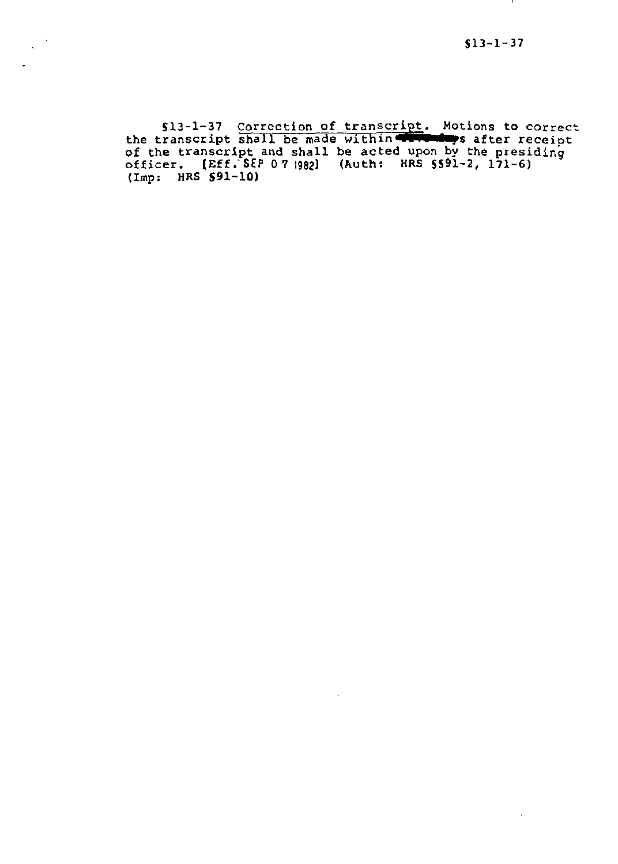$\mathbf{r}$  .

Sl3-1-37 Correction of transcript. Motions to correct the transcript shall be made within the safer receipt of the transcript and shall be acted upon by the presiding officer. [Eff;SEP 0719821 (Auth: HRS SS91-2, 171-6) (Imp: HRS 591-10)

 $\ddot{\phantom{a}}$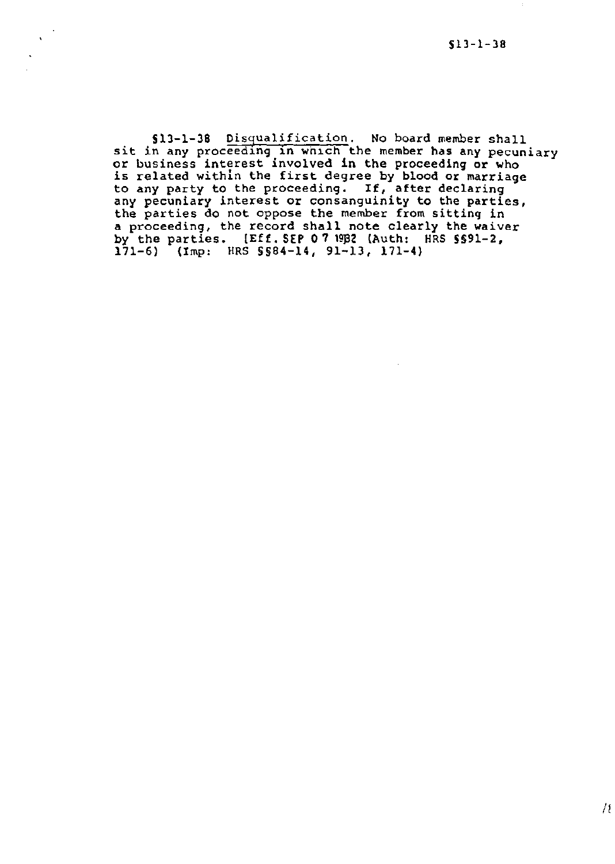à.

513-1-38 Dis9ualification. No board member shall sit in any proceeding in which the member has any pecuniary or business interest involved in the proceeding or who is related withln the first degree by blood or marriage to any party to the proceeding. If, after declaring any pecuniary interest or consanguinity to the parties, the parties do not oppose the member from sitting in a proceeding, the record shall note clearly the waiver by the parties.  $[Eff. SEP 07 19B2$  (Auth: HRS  $SSB1-2$ , 171-6) (Imp: HRS §§84-14, 91-13, 171-4)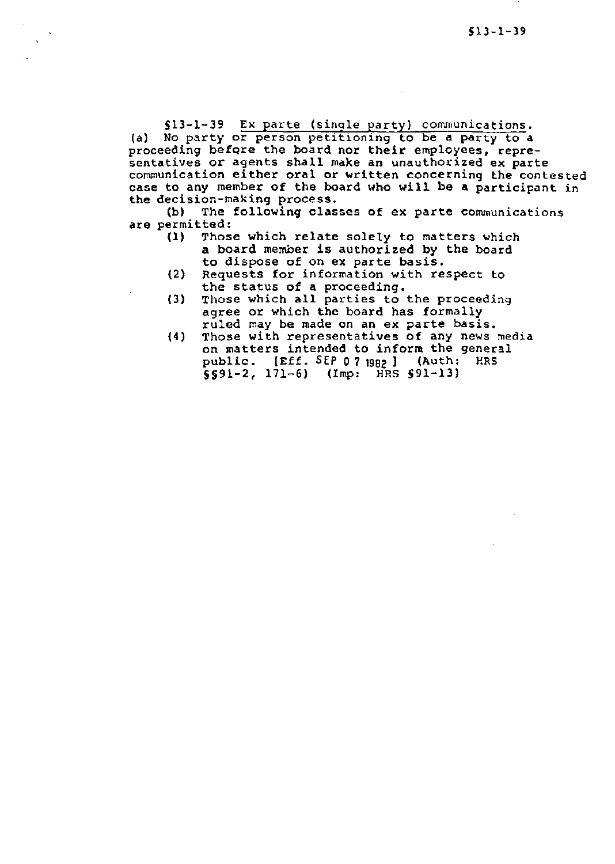\$13-1-39 Ex parte (single party) communications.

(a) No party or person petitioning to be a party to a proceeding befQre the board nor their employees, representatives or agents shall make an unauthorized ex parte communication either oral or written concerning the contested case to any member of the board who will be a participant in the decision-making process.<br>(b) The following clas

The following classes of ex parte communications are permitted:<br>(1) Thos

- Those which relate solely to matters which a board member is authorized by the board to dispose of on ex parte basis.
- (2) Requests for information with respect to the status of a proceeding.
- (3) Those which all parties to the proceeding agree or which the board has formally ruled may be made on an ex parte basis.
- (4) Those with representatives of any news media on matters intended to inform the general<br>public. (Eff. SEP 0.7 mas) (Auth: HRS public.  $[Eff.$  SEP 0 7  $1982$  ] (Auth:  $5591-2$ , 171-6) (Imp: HRS  $591-13$ )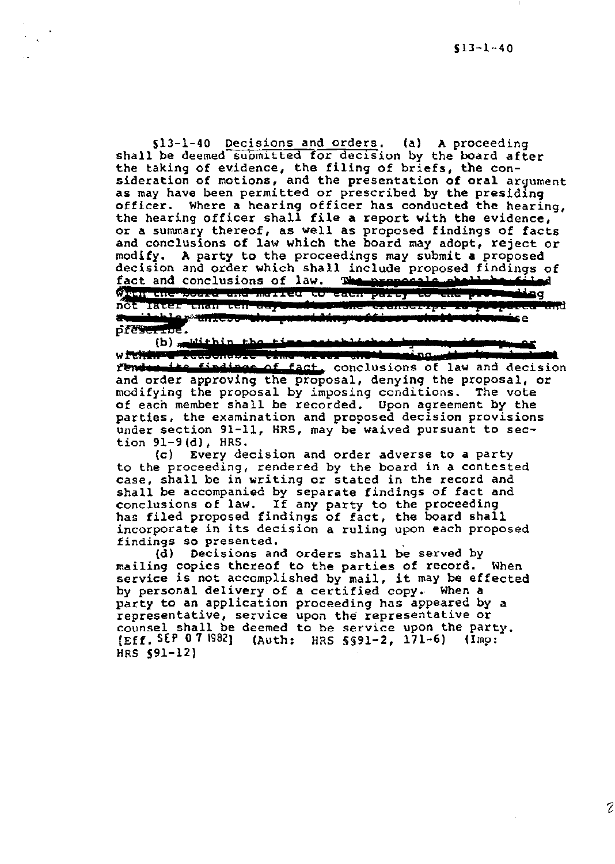SlJ-1-40 Decisions and orders. (a) A proceeding shall be deemed supmitted for decision by the board after the taking of evidence, the filing of briefs, the consideration of motions, and the presentation of oral argument as may have been permitted or prescribed by the presiding officer. Where a hearing officer has conducted the hearing, the hearing officer shall file a report with the evidence, or a summary thereof, as well as proposed findings of facts and conclusions of law which the board may adopt, reject or modify. A party to the proceedings may submit a proposed modify. A party to the proceedings may submit a proposed ecision and order which shall include proposed finding fact and conclusions of law. The proposals shall have to the proposals of the proposals of the proposals of th decision and order which shall include proposed findings of t and conclusions of ×.

(b) <u>"wiithin the time mentinis inishahar me</u>nting.<br>within the induction of the computer of the computer of the computer of the computer of the computer of the co fender the findings of fact, conclusions of law and decision and order approving the proposal, denying the proposal, or modifying the proposal by imposing conditions. The vote of each member shall be recorded. Upon agreement by the parties, the examination and proposed decision provisions under section 91-11, HRS, may be waived pursuant to section 91-9(d), HRS.

(c) Every decision and order adverse to a party to the proceeding, rendered by the board in a contested case, shall be in writing or stated in the record and shall be accompanied by separate findings of fact and conclusions of law. If any party to the proceeding has filed proposed findings of fact, the board shall incorporate in its decision a ruling upon each proposed findings so presented.

(d) Decisions and orders shall be served by mailing copies thereof to the parties of record. When service is not accomplished by mail, it may be effected by personal delivery of a certified copy. When a party to an application proceeding has appeared by a representative, service upon the representative or counsel shall be deemed to be service upon the party. [Eff. SEP 0 7 1982] (Auth: HRS §§91-2, 171-6) (Imp: HRS §91-12)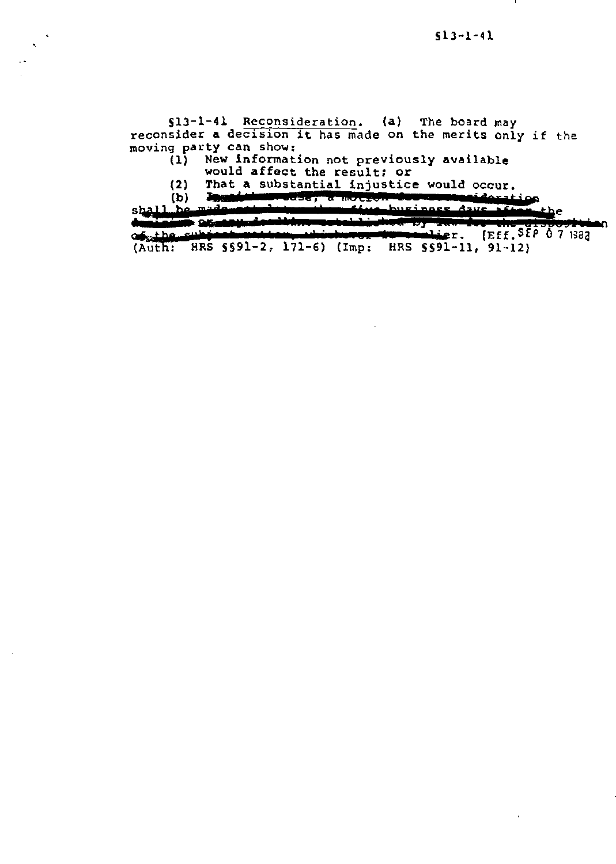SlJ-1-41 Reconsideration. (a) The board may reconsider a decision it has made on the merits only if the moving party can show:<br>(1) New informat:

New information not previously available

would affect the result; or

(2) That a substantial injustice would occur.<br>In addition once, a motion component downtion

(b) Thus husiness days after the

 $$$  $$$  $\frac{11}{b}$ e

:: ~ : of the subject webserve which (Auth: HRS §§91-2, 171-6) (Imp: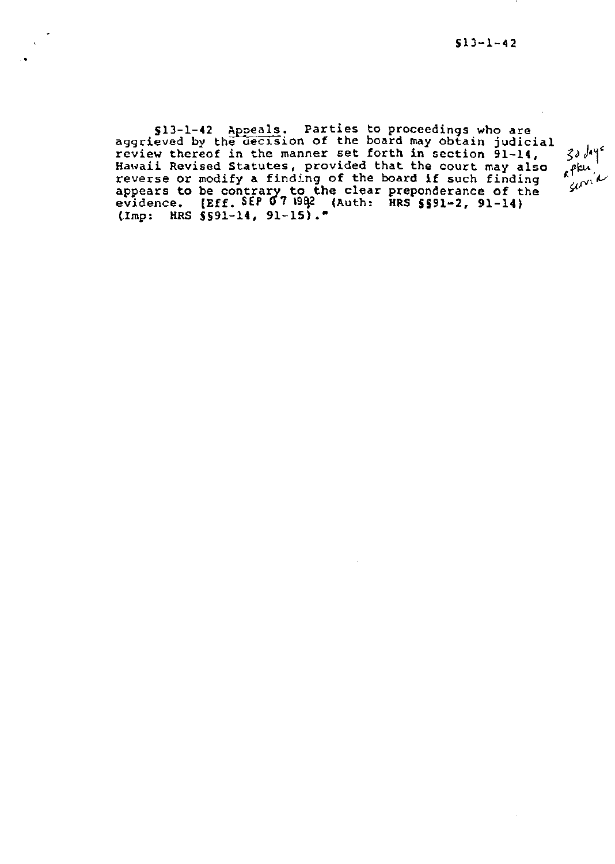§13-1-42 Appeals. Parties to proceedings who are aggrieved by the decision of the board may obtain judicial review thereof in the manner set forth in section 91-14, Hawaii Revised Statutes, provided that the court may also reverse or modify a finding of the board if such finding appears to be contrary to the clear preponderance of the evidence. (Eff. SEP 07 1992 (Auth: HRS  $5591-2$ ,  $91-14$ ) (Imp: HRS \$\$91-14, 91-15).

•

30 days<br>spku<br>servia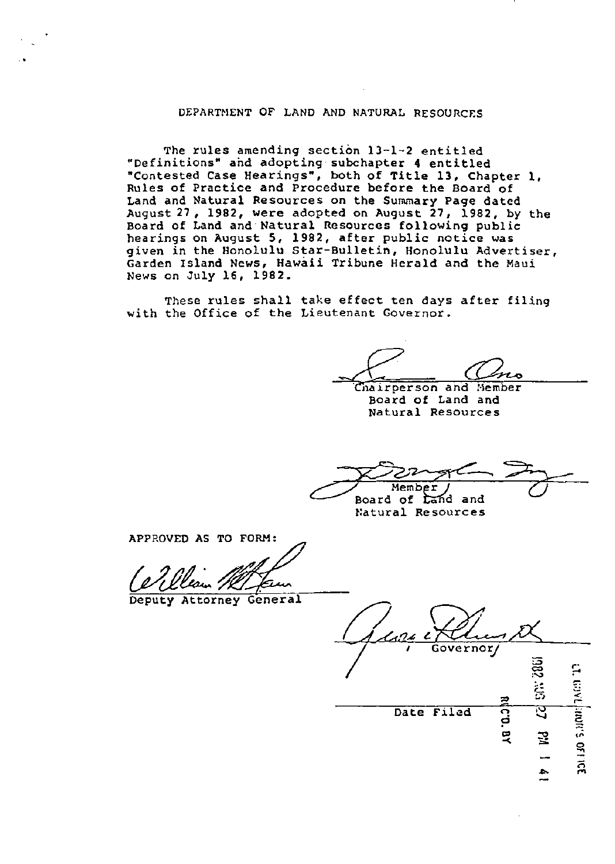## DEPARTNENT OF LAND AND NATURAL RESOURCES

The rules amending section 13-1-2 entitled "Definitions" and adopting subchapter 4 entitled "Contested Case Hearings", both of Title 13, Chapter 1, Rules of Practice and Procedure before the Board of Land and Natural Resources on the Summary Page dated August27, 1982, were adopted on August 27, 1982, by the Board of Land and Natural Resources following public hearings on August 5, 1982, after public notice was given in the Honolulu Star-Bulletin, Honolulu Advertiser, Garden Island News, Hawaii Tribune Herald and the Maui News on July 16, 1982.

These rules shall take effect ten days after filing with the Office of the Lieutenant Governor.

Chairperson and Member<br>- Board of Land and Natural Resources

Member Board of tand and

Natural Resources

APPROVED AS TO FORM:

Deputy Attorney General

ernor/ 17. myt  $\in$ ন Date Filed *z*  3  $\overline{ }$ "' ,,. 0 .., ~ <u>ሚ</u>

..,..

 $\vec{a}$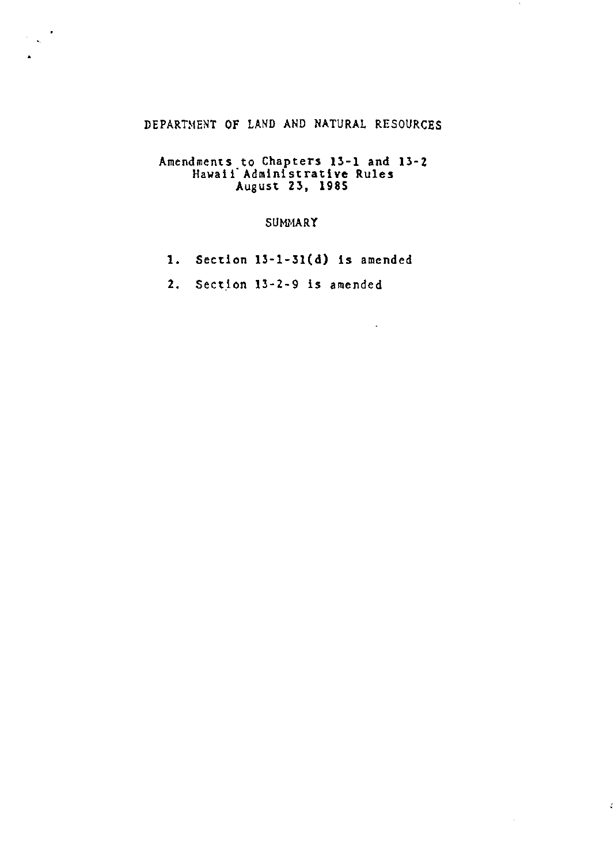## DEPARTMENT OF LAND AND NATURAL RESOURCES

 $\sim$ 

 $\zeta$ 

 $\mathcal{L}$ 

•

 $\sim$ 

## Amendments to Chapters 13-1 and 13·2 Hawaii" Administrative Rules August 23, 1985

## SUMMARY

1. Section 13-l-31(d) is amended

 $\mathbf{r}$ 

2. Section 13-2-9 is amended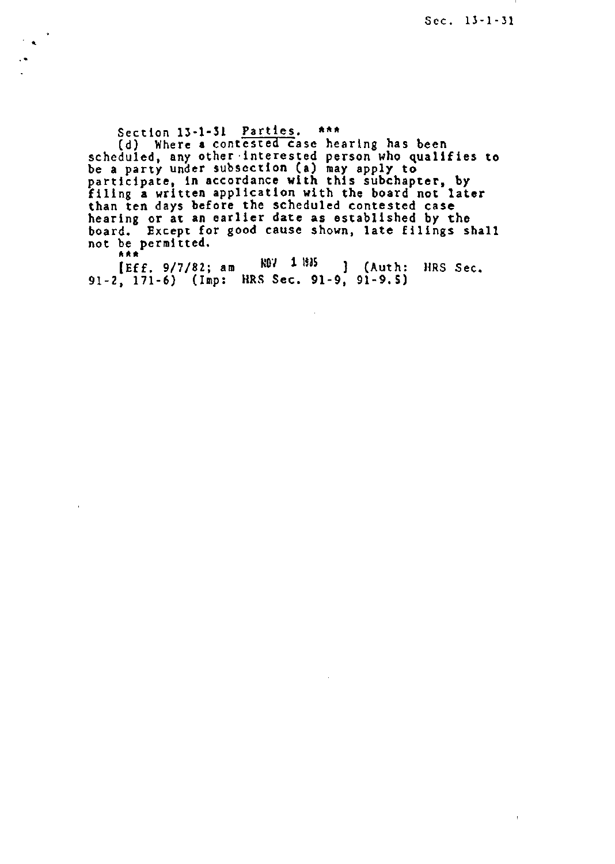$\bar{1}$ 

Section 13-1-31 Parties. \*\*\* (d) Where a contested case hearing has been scheduled, any other·interested person who qualifies to be a party under subsection (a) may apply to participate, in accordance with this subchapter, by filing a written application with the board not later than ten days before the scheduled contested case hearing or at an earlier date as established by the board. Except for good cause shown, late filings shall not be permitted.

..

 $[Eff. 9/7/82; am N0V 1 1935]$  (Auth: HRS Sec. 91-2, 171-6) (Imp: HRS Sec. 91-9, 91-9. S)

 $\mathcal{L}$